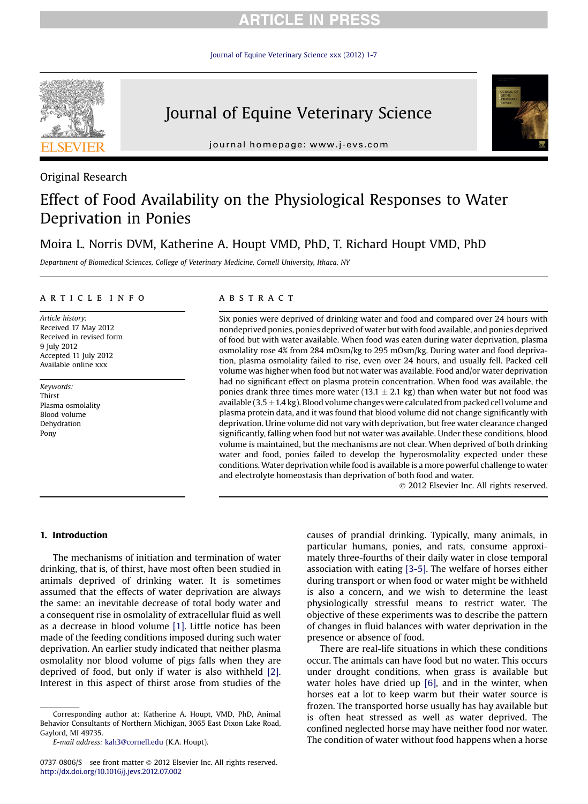## **RTICLE IN PRES**

[Journal of Equine Veterinary Science xxx \(2012\) 1-7](http://dx.doi.org/10.1016/j.jevs.2012.07.002)



# Journal of Equine Veterinary Science



journal homepage: [www.j-evs.com](http://www.j-evs.com)

## Original Research

# Effect of Food Availability on the Physiological Responses to Water Deprivation in Ponies

## Moira L. Norris DVM, Katherine A. Houpt VMD, PhD, T. Richard Houpt VMD, PhD

Department of Biomedical Sciences, College of Veterinary Medicine, Cornell University, Ithaca, NY

## article info

Article history: Received 17 May 2012 Received in revised form 9 July 2012 Accepted 11 July 2012 Available online xxx

Keywords: Thirst Plasma osmolality Blood volume Dehydration Pony

## ABSTRACT

Six ponies were deprived of drinking water and food and compared over 24 hours with nondeprived ponies, ponies deprived of water but with food available, and ponies deprived of food but with water available. When food was eaten during water deprivation, plasma osmolality rose 4% from 284 mOsm/kg to 295 mOsm/kg. During water and food deprivation, plasma osmolality failed to rise, even over 24 hours, and usually fell. Packed cell volume was higher when food but not water was available. Food and/or water deprivation had no significant effect on plasma protein concentration. When food was available, the ponies drank three times more water (13.1  $\pm$  2.1 kg) than when water but not food was available  $(3.5 \pm 1.4 \text{ kg})$ . Blood volume changes were calculated from packed cell volume and plasma protein data, and it was found that blood volume did not change significantly with deprivation. Urine volume did not vary with deprivation, but free water clearance changed significantly, falling when food but not water was available. Under these conditions, blood volume is maintained, but the mechanisms are not clear. When deprived of both drinking water and food, ponies failed to develop the hyperosmolality expected under these conditions. Water deprivation while food is available is a more powerful challenge to water and electrolyte homeostasis than deprivation of both food and water.

2012 Elsevier Inc. All rights reserved.

## 1. Introduction

The mechanisms of initiation and termination of water drinking, that is, of thirst, have most often been studied in animals deprived of drinking water. It is sometimes assumed that the effects of water deprivation are always the same: an inevitable decrease of total body water and a consequent rise in osmolality of extracellular fluid as well as a decrease in blood volume [\[1\]](#page-5-0). Little notice has been made of the feeding conditions imposed during such water deprivation. An earlier study indicated that neither plasma osmolality nor blood volume of pigs falls when they are deprived of food, but only if water is also withheld [\[2\]](#page-5-0). Interest in this aspect of thirst arose from studies of the

causes of prandial drinking. Typically, many animals, in particular humans, ponies, and rats, consume approximately three-fourths of their daily water in close temporal association with eating [\[3-5\]](#page-5-0). The welfare of horses either during transport or when food or water might be withheld is also a concern, and we wish to determine the least physiologically stressful means to restrict water. The objective of these experiments was to describe the pattern of changes in fluid balances with water deprivation in the presence or absence of food.

There are real-life situations in which these conditions occur. The animals can have food but no water. This occurs under drought conditions, when grass is available but water holes have dried up [\[6\],](#page-5-0) and in the winter, when horses eat a lot to keep warm but their water source is frozen. The transported horse usually has hay available but is often heat stressed as well as water deprived. The confined neglected horse may have neither food nor water. The condition of water without food happens when a horse

Corresponding author at: Katherine A. Houpt, VMD, PhD, Animal Behavior Consultants of Northern Michigan, 3065 East Dixon Lake Road, Gaylord, MI 49735.

E-mail address: [kah3@cornell.edu](mailto:kah3@cornell.edu) (K.A. Houpt).

<sup>0737-0806/\$ -</sup> see front matter 2012 Elsevier Inc. All rights reserved. <http://dx.doi.org/10.1016/j.jevs.2012.07.002>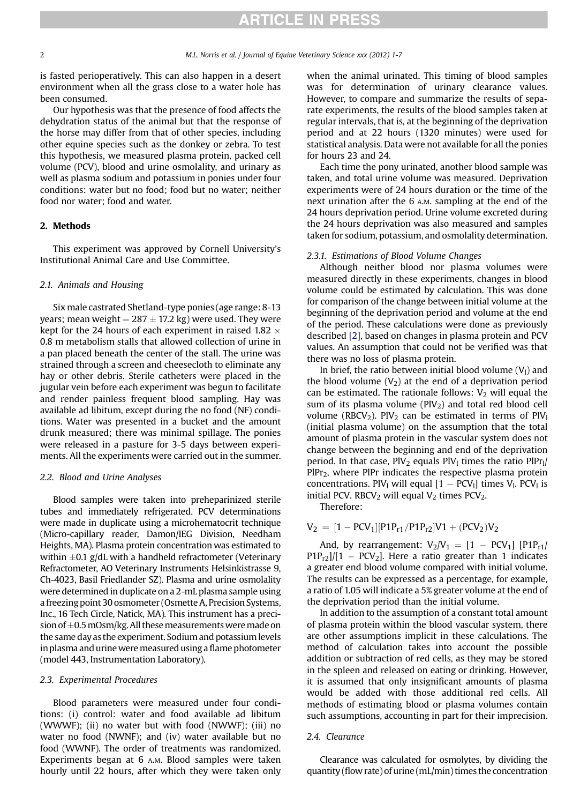is fasted perioperatively. This can also happen in a desert environment when all the grass close to a water hole has been consumed.

Our hypothesis was that the presence of food affects the dehydration status of the animal but that the response of the horse may differ from that of other species, including other equine species such as the donkey or zebra. To test this hypothesis, we measured plasma protein, packed cell volume (PCV), blood and urine osmolality, and urinary as well as plasma sodium and potassium in ponies under four conditions: water but no food; food but no water; neither food nor water; food and water.

## 2. Methods

This experiment was approved by Cornell University's Institutional Animal Care and Use Committee.

#### 2.1. Animals and Housing

Six male castrated Shetland-type ponies (age range: 8-13 years; mean weight  $= 287 \pm 17.2$  kg) were used. They were kept for the 24 hours of each experiment in raised 1.82  $\times$ 0.8 m metabolism stalls that allowed collection of urine in a pan placed beneath the center of the stall. The urine was strained through a screen and cheesecloth to eliminate any hay or other debris. Sterile catheters were placed in the jugular vein before each experiment was begun to facilitate and render painless frequent blood sampling. Hay was available ad libitum, except during the no food (NF) conditions. Water was presented in a bucket and the amount drunk measured; there was minimal spillage. The ponies were released in a pasture for 3-5 days between experiments. All the experiments were carried out in the summer.

### 2.2. Blood and Urine Analyses

Blood samples were taken into preheparinized sterile tubes and immediately refrigerated. PCV determinations were made in duplicate using a microhematocrit technique (Micro-capillary reader, Damon/IEG Division, Needham Heights, MA). Plasma protein concentration was estimated to within  $\pm 0.1$  g/dL with a handheld refractometer (Veterinary Refractometer, AO Veterinary Instruments Helsinkistrasse 9, Ch-4023, Basil Friedlander SZ). Plasma and urine osmolality were determined in duplicate on a 2-mL plasma sample using a freezing point 30 osmometer (Osmette A, Precision Systems, Inc., 16 Tech Circle, Natick, MA). This instrument has a precision of  $\pm$ 0.5 mOsm/kg. All these measurements were made on the same day as the experiment. Sodium and potassium levels in plasma and urine were measured using a flame photometer (model 443, Instrumentation Laboratory).

#### 2.3. Experimental Procedures

Blood parameters were measured under four conditions: (i) control: water and food available ad libitum (WWWF); (ii) no water but with food (NWWF); (iii) no water no food (NWNF); and (iv) water available but no food (WWNF). The order of treatments was randomized. Experiments began at 6 A.M. Blood samples were taken hourly until 22 hours, after which they were taken only when the animal urinated. This timing of blood samples was for determination of urinary clearance values. However, to compare and summarize the results of separate experiments, the results of the blood samples taken at regular intervals, that is, at the beginning of the deprivation period and at 22 hours (1320 minutes) were used for statistical analysis. Data were not available for all the ponies for hours 23 and 24.

Each time the pony urinated, another blood sample was taken, and total urine volume was measured. Deprivation experiments were of 24 hours duration or the time of the next urination after the 6 A.M. sampling at the end of the 24 hours deprivation period. Urine volume excreted during the 24 hours deprivation was also measured and samples taken for sodium, potassium, and osmolality determination.

#### 2.3.1. Estimations of Blood Volume Changes

Although neither blood nor plasma volumes were measured directly in these experiments, changes in blood volume could be estimated by calculation. This was done for comparison of the change between initial volume at the beginning of the deprivation period and volume at the end of the period. These calculations were done as previously described [\[2\]](#page-5-0), based on changes in plasma protein and PCV values. An assumption that could not be verified was that there was no loss of plasma protein.

In brief, the ratio between initial blood volume  $(V<sub>1</sub>)$  and the blood volume  $(V_2)$  at the end of a deprivation period can be estimated. The rationale follows:  $V_2$  will equal the sum of its plasma volume  $(PIV<sub>2</sub>)$  and total red blood cell volume (RBCV<sub>2</sub>). PlV<sub>2</sub> can be estimated in terms of PlV<sub>1</sub> (initial plasma volume) on the assumption that the total amount of plasma protein in the vascular system does not change between the beginning and end of the deprivation period. In that case,  $PIV_2$  equals  $PIV_1$  times the ratio  $PIPr_1/$ PlPr2, where PlPr indicates the respective plasma protein concentrations. PlV<sub>l</sub> will equal  $[1 - PCV_1]$  times V<sub>l</sub>. PCV<sub>l</sub> is initial PCV. RBCV<sub>2</sub> will equal  $V_2$  times PCV<sub>2</sub>.

Therefore:

 $V_2 = [1 - PCV_1][P1P_{r1}/P1P_{r2}]V1 + (PCV_2)V_2$ 

And, by rearrangement:  $V_2/V_1 = [1 - PCV_1] [P1P_{r1}/$  $P1P_{r2}$ ]/[1 – PCV<sub>2</sub>]. Here a ratio greater than 1 indicates a greater end blood volume compared with initial volume. The results can be expressed as a percentage, for example, a ratio of 1.05 will indicate a 5% greater volume at the end of the deprivation period than the initial volume.

In addition to the assumption of a constant total amount of plasma protein within the blood vascular system, there are other assumptions implicit in these calculations. The method of calculation takes into account the possible addition or subtraction of red cells, as they may be stored in the spleen and released on eating or drinking. However, it is assumed that only insignificant amounts of plasma would be added with those additional red cells. All methods of estimating blood or plasma volumes contain such assumptions, accounting in part for their imprecision.

## 2.4. Clearance

Clearance was calculated for osmolytes, by dividing the quantity (flow rate) of urine (mL/min) times the concentration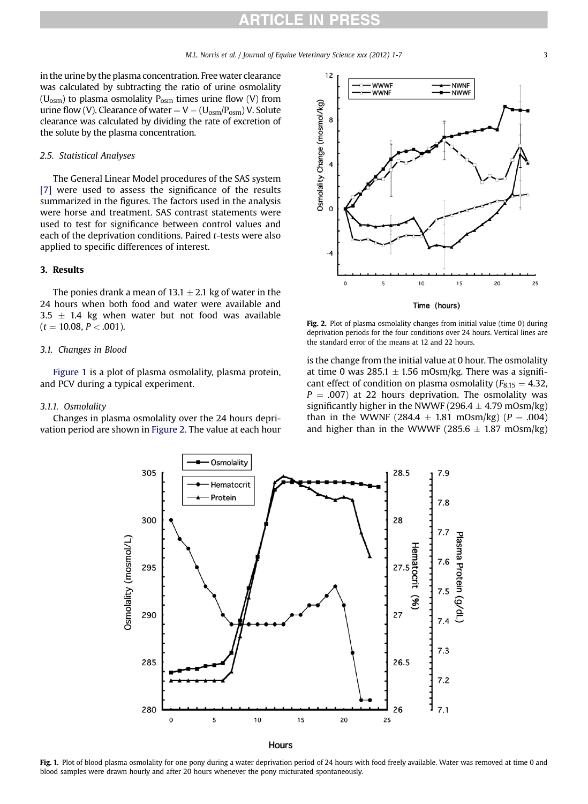<span id="page-2-0"></span>in the urine by the plasma concentration. Free water clearance was calculated by subtracting the ratio of urine osmolality  $(U_{osm})$  to plasma osmolality  $P_{osm}$  times urine flow (V) from urine flow (V). Clearance of water  $= V - (U_{osm}/P_{osm})$  V. Solute clearance was calculated by dividing the rate of excretion of the solute by the plasma concentration.

### 2.5. Statistical Analyses

The General Linear Model procedures of the SAS system [\[7\]](#page-5-0) were used to assess the significance of the results summarized in the figures. The factors used in the analysis were horse and treatment. SAS contrast statements were used to test for significance between control values and each of the deprivation conditions. Paired t-tests were also applied to specific differences of interest.

## 3. Results

The ponies drank a mean of  $13.1 \pm 2.1$  kg of water in the 24 hours when both food and water were available and  $3.5 \pm 1.4$  kg when water but not food was available  $(t = 10.08, P < .001)$ .

## 3.1. Changes in Blood

Figure 1 is a plot of plasma osmolality, plasma protein, and PCV during a typical experiment.

### 3.1.1. Osmolality

Changes in plasma osmolality over the 24 hours deprivation period are shown in Figure 2. The value at each hour



Fig. 2. Plot of plasma osmolality changes from initial value (time 0) during deprivation periods for the four conditions over 24 hours. Vertical lines are the standard error of the means at 12 and 22 hours.

is the change from the initial value at 0 hour. The osmolality at time 0 was  $285.1 \pm 1.56$  mOsm/kg. There was a significant effect of condition on plasma osmolality ( $F_{8,15} = 4.32$ ,  $P = .007$ ) at 22 hours deprivation. The osmolality was significantly higher in the NWWF (296.4  $\pm$  4.79 mOsm/kg) than in the WWNF (284.4  $\pm$  1.81 mOsm/kg) (P = .004) and higher than in the WWWF (285.6  $\pm$  1.87 mOsm/kg)



Fig. 1. Plot of blood plasma osmolality for one pony during a water deprivation period of 24 hours with food freely available. Water was removed at time 0 and blood samples were drawn hourly and after 20 hours whenever the pony micturated spontaneously.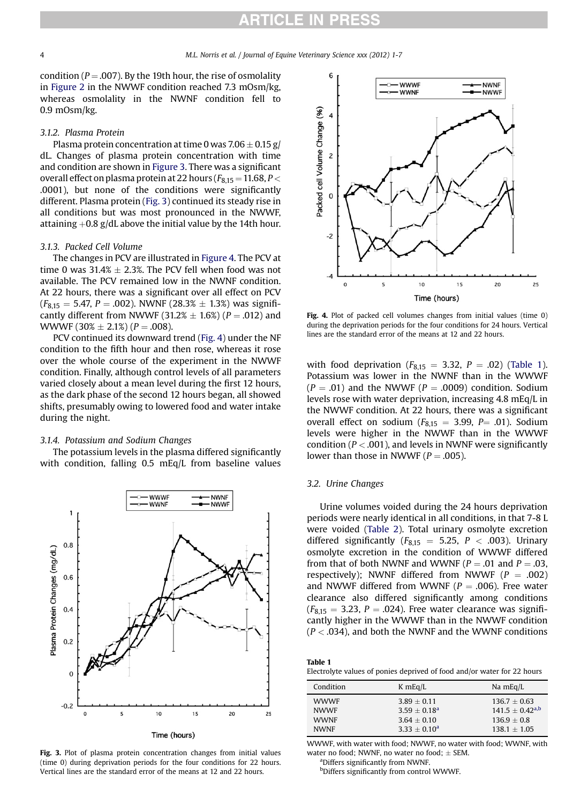## **TICLE IN PRES**

<span id="page-3-0"></span>condition ( $P = .007$ ). By the 19th hour, the rise of osmolality in [Figure 2](#page-2-0) in the NWWF condition reached 7.3 mOsm/kg, whereas osmolality in the NWNF condition fell to 0.9 mOsm/kg.

#### 3.1.2. Plasma Protein

Plasma protein concentration at time 0 was  $7.06 \pm 0.15$  g/ dL. Changes of plasma protein concentration with time and condition are shown in Figure 3. There was a significant overall effect on plasma protein at 22 hours ( $F_{8,15} = 11.68$ ,  $P <$ .0001), but none of the conditions were significantly different. Plasma protein (Fig. 3) continued its steady rise in all conditions but was most pronounced in the NWWF, attaining  $+0.8$  g/dL above the initial value by the 14th hour.

## 3.1.3. Packed Cell Volume

The changes in PCV are illustrated in Figure 4. The PCV at time 0 was  $31.4\% \pm 2.3\%$ . The PCV fell when food was not available. The PCV remained low in the NWNF condition. At 22 hours, there was a significant over all effect on PCV  $(F_{8,15} = 5.47, P = .002)$ . NWNF (28.3%  $\pm$  1.3%) was significantly different from NWWF (31.2%  $\pm$  1.6%) (P = .012) and WWWF  $(30\% \pm 2.1\%)$  (P = .008).

PCV continued its downward trend (Fig. 4) under the NF condition to the fifth hour and then rose, whereas it rose over the whole course of the experiment in the NWWF condition. Finally, although control levels of all parameters varied closely about a mean level during the first 12 hours, as the dark phase of the second 12 hours began, all showed shifts, presumably owing to lowered food and water intake during the night.

## 3.1.4. Potassium and Sodium Changes

The potassium levels in the plasma differed significantly with condition, falling 0.5 mEq/L from baseline values



Fig. 3. Plot of plasma protein concentration changes from initial values (time 0) during deprivation periods for the four conditions for 22 hours. Vertical lines are the standard error of the means at 12 and 22 hours.



Fig. 4. Plot of packed cell volumes changes from initial values (time 0) during the deprivation periods for the four conditions for 24 hours. Vertical lines are the standard error of the means at 12 and 22 hours.

with food deprivation ( $F_{8,15} = 3.32$ ,  $P = .02$ ) (Table 1). Potassium was lower in the NWNF than in the WWWF  $(P = .01)$  and the NWWF  $(P = .0009)$  condition. Sodium levels rose with water deprivation, increasing 4.8 mEq/L in the NWWF condition. At 22 hours, there was a significant overall effect on sodium ( $F_{8,15} = 3.99$ ,  $P = .01$ ). Sodium levels were higher in the NWWF than in the WWWF condition ( $P < .001$ ), and levels in NWNF were significantly lower than those in NWWF ( $P = .005$ ).

## 3.2. Urine Changes

Urine volumes voided during the 24 hours deprivation periods were nearly identical in all conditions, in that 7-8 L were voided ([Table 2](#page-4-0)). Total urinary osmolyte excretion differed significantly ( $F_{8,15} = 5.25$ ,  $P < .003$ ). Urinary osmolyte excretion in the condition of WWWF differed from that of both NWNF and WWNF ( $P = .01$  and  $P = .03$ , respectively); NWNF differed from NWWF ( $P = .002$ ) and NWWF differed from WWNF ( $P = .006$ ). Free water clearance also differed significantly among conditions  $(F_{8,15} = 3.23, P = .024)$ . Free water clearance was significantly higher in the WWWF than in the NWWF condition  $(P < .034)$ , and both the NWNF and the WWNF conditions

| Table 1                                                                 |  |
|-------------------------------------------------------------------------|--|
| Electrolyte values of ponies deprived of food and/or water for 22 hours |  |

| Condition   | $K$ mEq/L       | Na $mEq/L$             |  |
|-------------|-----------------|------------------------|--|
| <b>WWWF</b> | $3.89 + 0.11$   | $136.7 \pm 0.63$       |  |
| <b>NWWF</b> | $3.59 + 0.18^a$ | $141.5 \pm 0.42^{a,b}$ |  |
| <b>WWNF</b> | $3.64 + 0.10$   | $136.9 + 0.8$          |  |
| <b>NWNF</b> | $3.33 + 0.10a$  | $138.1 + 1.05$         |  |

WWWF, with water with food; NWWF, no water with food; WWNF, with water no food; NWNF, no water no food;  $\pm$  SEM.

Differs significantly from NWNF.

b Differs significantly from control WWWF.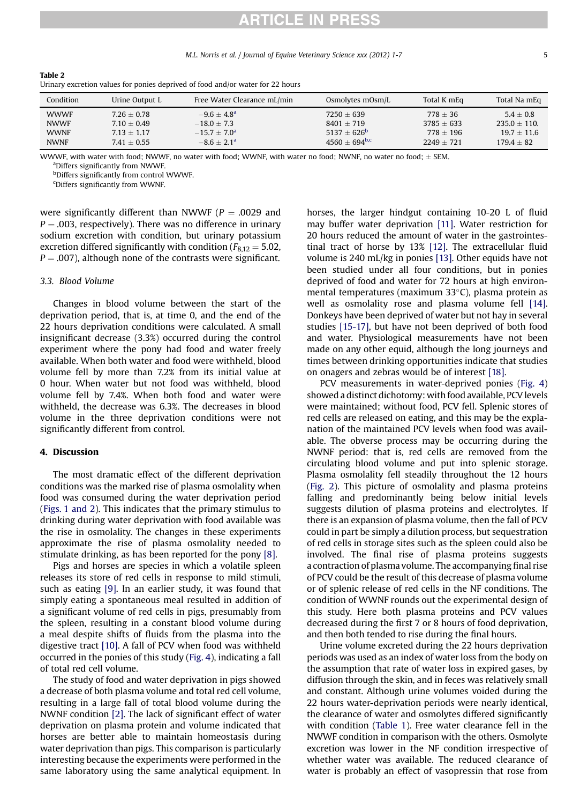M.L. Norris et al. / Journal of Equine Veterinary Science xxx (2012) 1-7 5

**RTICLE IN PRES** 

| Condition   | Urine Output L | Free Water Clearance mL/min | Osmolytes mOsm/L   | Total K mEq  | Total Na mEq   |
|-------------|----------------|-----------------------------|--------------------|--------------|----------------|
| <b>WWWF</b> | $7.26 + 0.78$  | $-9.6 + 4.8^{\circ}$        | $7250 + 639$       | $778 + 36$   | $5.4 + 0.8$    |
| <b>NWWF</b> | $7.10 + 0.49$  | $-18.0 + 7.3$               | $8401 + 719$       | $3785 + 633$ | $235.0 + 110.$ |
| <b>WWNF</b> | $7.13 + 1.17$  | $-15.7 + 7.0a$              | $5137 + 626^b$     | $778 + 196$  | $19.7 + 11.6$  |
| <b>NWNF</b> | $7.41 + 0.55$  | $-8.6 + 2.1a$               | $4560 + 694^{b,c}$ | $2249 + 721$ | $179.4 + 82$   |

Urinary excretion values for ponies deprived of food and/or water for 22 hours

WWWF, with water with food; NWWF, no water with food; WWNF, with water no food; NWNF, no water no food;  $\pm$  SEM.

Differs significantly from NWWF.

b Differs significantly from control WWWF.

c Differs significantly from WWNF.

were significantly different than NWWF ( $P = .0029$  and  $P = .003$ , respectively). There was no difference in urinary sodium excretion with condition, but urinary potassium excretion differed significantly with condition ( $F_{8,12} = 5.02$ ,  $P = .007$ ), although none of the contrasts were significant.

### 3.3. Blood Volume

<span id="page-4-0"></span>Table 2

Changes in blood volume between the start of the deprivation period, that is, at time 0, and the end of the 22 hours deprivation conditions were calculated. A small insignificant decrease (3.3%) occurred during the control experiment where the pony had food and water freely available. When both water and food were withheld, blood volume fell by more than 7.2% from its initial value at 0 hour. When water but not food was withheld, blood volume fell by 7.4%. When both food and water were withheld, the decrease was 6.3%. The decreases in blood volume in the three deprivation conditions were not significantly different from control.

## 4. Discussion

The most dramatic effect of the different deprivation conditions was the marked rise of plasma osmolality when food was consumed during the water deprivation period ([Figs. 1 and 2](#page-2-0)). This indicates that the primary stimulus to drinking during water deprivation with food available was the rise in osmolality. The changes in these experiments approximate the rise of plasma osmolality needed to stimulate drinking, as has been reported for the pony [\[8\].](#page-5-0)

Pigs and horses are species in which a volatile spleen releases its store of red cells in response to mild stimuli, such as eating [\[9\].](#page-5-0) In an earlier study, it was found that simply eating a spontaneous meal resulted in addition of a significant volume of red cells in pigs, presumably from the spleen, resulting in a constant blood volume during a meal despite shifts of fluids from the plasma into the digestive tract [\[10\]](#page-5-0). A fall of PCV when food was withheld occurred in the ponies of this study ([Fig. 4\)](#page-3-0), indicating a fall of total red cell volume.

The study of food and water deprivation in pigs showed a decrease of both plasma volume and total red cell volume, resulting in a large fall of total blood volume during the NWNF condition [\[2\]](#page-5-0). The lack of significant effect of water deprivation on plasma protein and volume indicated that horses are better able to maintain homeostasis during water deprivation than pigs. This comparison is particularly interesting because the experiments were performed in the same laboratory using the same analytical equipment. In horses, the larger hindgut containing 10-20 L of fluid may buffer water deprivation [\[11\]](#page-5-0). Water restriction for 20 hours reduced the amount of water in the gastrointestinal tract of horse by 13% [\[12\]](#page-5-0). The extracellular fluid volume is 240 mL/kg in ponies [\[13\]](#page-5-0). Other equids have not been studied under all four conditions, but in ponies deprived of food and water for 72 hours at high environmental temperatures (maximum  $33^{\circ}$ C), plasma protein as well as osmolality rose and plasma volume fell [\[14\]](#page-5-0). Donkeys have been deprived of water but not hay in several studies [\[15-17\],](#page-5-0) but have not been deprived of both food and water. Physiological measurements have not been made on any other equid, although the long journeys and times between drinking opportunities indicate that studies on onagers and zebras would be of interest [\[18\]](#page-6-0).

PCV measurements in water-deprived ponies [\(Fig. 4](#page-3-0)) showed a distinct dichotomy: with food available, PCV levels were maintained; without food, PCV fell. Splenic stores of red cells are released on eating, and this may be the explanation of the maintained PCV levels when food was available. The obverse process may be occurring during the NWNF period: that is, red cells are removed from the circulating blood volume and put into splenic storage. Plasma osmolality fell steadily throughout the 12 hours ([Fig. 2\)](#page-2-0). This picture of osmolality and plasma proteins falling and predominantly being below initial levels suggests dilution of plasma proteins and electrolytes. If there is an expansion of plasma volume, then the fall of PCV could in part be simply a dilution process, but sequestration of red cells in storage sites such as the spleen could also be involved. The final rise of plasma proteins suggests a contraction of plasma volume. The accompanying final rise of PCV could be the result of this decrease of plasma volume or of splenic release of red cells in the NF conditions. The condition of WWNF rounds out the experimental design of this study. Here both plasma proteins and PCV values decreased during the first 7 or 8 hours of food deprivation, and then both tended to rise during the final hours.

Urine volume excreted during the 22 hours deprivation periods was used as an index of water loss from the body on the assumption that rate of water loss in expired gases, by diffusion through the skin, and in feces was relatively small and constant. Although urine volumes voided during the 22 hours water-deprivation periods were nearly identical, the clearance of water and osmolytes differed significantly with condition [\(Table 1](#page-3-0)). Free water clearance fell in the NWWF condition in comparison with the others. Osmolyte excretion was lower in the NF condition irrespective of whether water was available. The reduced clearance of water is probably an effect of vasopressin that rose from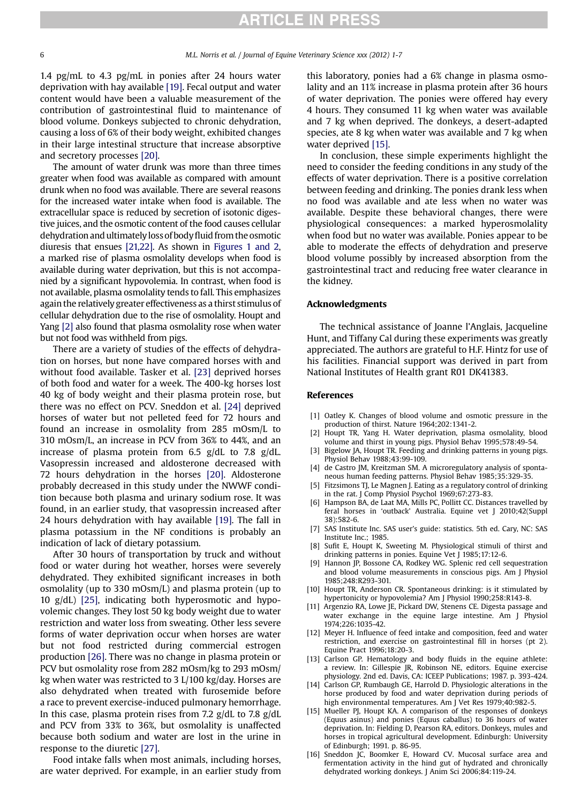## **ARTICLE IN PRESS**

<span id="page-5-0"></span>1.4 pg/mL to 4.3 pg/mL in ponies after 24 hours water deprivation with hay available [\[19\]](#page-6-0). Fecal output and water content would have been a valuable measurement of the contribution of gastrointestinal fluid to maintenance of blood volume. Donkeys subjected to chronic dehydration, causing a loss of 6% of their body weight, exhibited changes in their large intestinal structure that increase absorptive and secretory processes [\[20\].](#page-6-0)

The amount of water drunk was more than three times greater when food was available as compared with amount drunk when no food was available. There are several reasons for the increased water intake when food is available. The extracellular space is reduced by secretion of isotonic digestive juices, and the osmotic content of the food causes cellular dehydration and ultimatelyloss of bodyfluid from the osmotic diuresis that ensues [\[21,22\]](#page-6-0). As shown in [Figures 1 and 2](#page-2-0), a marked rise of plasma osmolality develops when food is available during water deprivation, but this is not accompanied by a significant hypovolemia. In contrast, when food is not available, plasma osmolality tends to fall. This emphasizes again the relatively greater effectiveness as a thirst stimulus of cellular dehydration due to the rise of osmolality. Houpt and Yang [2] also found that plasma osmolality rose when water but not food was withheld from pigs.

There are a variety of studies of the effects of dehydration on horses, but none have compared horses with and without food available. Tasker et al. [\[23\]](#page-6-0) deprived horses of both food and water for a week. The 400-kg horses lost 40 kg of body weight and their plasma protein rose, but there was no effect on PCV. Sneddon et al. [\[24\]](#page-6-0) deprived horses of water but not pelleted feed for 72 hours and found an increase in osmolality from 285 mOsm/L to 310 mOsm/L, an increase in PCV from 36% to 44%, and an increase of plasma protein from 6.5 g/dL to 7.8 g/dL. Vasopressin increased and aldosterone decreased with 72 hours dehydration in the horses [\[20\]](#page-6-0). Aldosterone probably decreased in this study under the NWWF condition because both plasma and urinary sodium rose. It was found, in an earlier study, that vasopressin increased after 24 hours dehydration with hay available [\[19\].](#page-6-0) The fall in plasma potassium in the NF conditions is probably an indication of lack of dietary potassium.

After 30 hours of transportation by truck and without food or water during hot weather, horses were severely dehydrated. They exhibited significant increases in both osmolality (up to 330 mOsm/L) and plasma protein (up to 10 g/dL) [\[25\],](#page-6-0) indicating both hyperosmotic and hypovolemic changes. They lost 50 kg body weight due to water restriction and water loss from sweating. Other less severe forms of water deprivation occur when horses are water but not food restricted during commercial estrogen production [\[26\]](#page-6-0). There was no change in plasma protein or PCV but osmolality rose from 282 mOsm/kg to 293 mOsm/ kg when water was restricted to 3 L/100 kg/day. Horses are also dehydrated when treated with furosemide before a race to prevent exercise-induced pulmonary hemorrhage. In this case, plasma protein rises from 7.2  $g/dL$  to 7.8  $g/dL$ and PCV from 33% to 36%, but osmolality is unaffected because both sodium and water are lost in the urine in response to the diuretic [\[27\].](#page-6-0)

Food intake falls when most animals, including horses, are water deprived. For example, in an earlier study from this laboratory, ponies had a 6% change in plasma osmolality and an 11% increase in plasma protein after 36 hours of water deprivation. The ponies were offered hay every 4 hours. They consumed 11 kg when water was available and 7 kg when deprived. The donkeys, a desert-adapted species, ate 8 kg when water was available and 7 kg when water deprived [15].

In conclusion, these simple experiments highlight the need to consider the feeding conditions in any study of the effects of water deprivation. There is a positive correlation between feeding and drinking. The ponies drank less when no food was available and ate less when no water was available. Despite these behavioral changes, there were physiological consequences: a marked hyperosmolality when food but no water was available. Ponies appear to be able to moderate the effects of dehydration and preserve blood volume possibly by increased absorption from the gastrointestinal tract and reducing free water clearance in the kidney.

## Acknowledgments

The technical assistance of Joanne l'Anglais, Jacqueline Hunt, and Tiffany Cal during these experiments was greatly appreciated. The authors are grateful to H.F. Hintz for use of his facilities. Financial support was derived in part from National Institutes of Health grant R01 DK41383.

#### References

- [1] Oatley K. Changes of blood volume and osmotic pressure in the production of thirst. Nature 1964;202:1341-2.
- [2] Houpt TR, Yang H. Water deprivation, plasma osmolality, blood volume and thirst in young pigs. Physiol Behav 1995;578:49-54.
- [3] Bigelow JA, Houpt TR, Feeding and drinking patterns in young pigs. Physiol Behav 1988;43:99-109.
- [4] de Castro JM, Kreitzman SM. A microregulatory analysis of spontaneous human feeding patterns. Physiol Behav 1985;35:329-35.
- [5] Fitzsimons TJ, Le Magnen J. Eating as a regulatory control of drinking in the rat. J Comp Physiol Psychol 1969;67:273-83.
- [6] Hampson BA, de Laat MA, Mills PC, Pollitt CC. Distances travelled by feral horses in 'outback' Australia. Equine vet J 2010;42(Suppl 38):582-6.
- [7] SAS Institute Inc. SAS user's guide: statistics. 5th ed. Cary, NC: SAS Institute Inc.; 1985.
- [8] Sufit E, Houpt K, Sweeting M. Physiological stimuli of thirst and drinking patterns in ponies. Equine Vet J 1985;17:12-6.
- [9] Hannon JP, Bossone CA, Rodkey WG. Splenic red cell sequestration and blood volume measurements in conscious pigs. Am J Physiol 1985;248:R293-301.
- [10] Houpt TR, Anderson CR. Spontaneous drinking: is it stimulated by hypertonicity or hypovolemia? Am J Physiol 1990;258:R143-8.
- [11] Argenzio RA, Lowe JE, Pickard DW, Stenens CE. Digesta passage and water exchange in the equine large intestine. Am J Physiol 1974;226:1035-42.
- [12] Meyer H. Influence of feed intake and composition, feed and water restriction, and exercise on gastrointestinal fill in horses (pt 2). Equine Pract 1996;18:20-3.
- [13] Carlson GP. Hematology and body fluids in the equine athlete: a review. In: Gillespie JR, Robinson NE, editors. Equine exercise physiology. 2nd ed. Davis, CA: ICEEP Publications; 1987. p. 393-424.
- [14] Carlson GP, Rumbaugh GE, Harrold D. Physiologic alterations in the horse produced by food and water deprivation during periods of high environmental temperatures. Am J Vet Res 1979;40:982-5.
- [15] Mueller PJ, Houpt KA, A comparison of the responses of donkeys (Equus asinus) and ponies (Equus caballus) to 36 hours of water deprivation. In: Fielding D, Pearson RA, editors. Donkeys, mules and horses in tropical agricultural development. Edinburgh: University of Edinburgh; 1991. p. 86-95.
- [16] Sneddon JC, Boomker E, Howard CV. Mucosal surface area and fermentation activity in the hind gut of hydrated and chronically dehydrated working donkeys. J Anim Sci 2006;84:119-24.